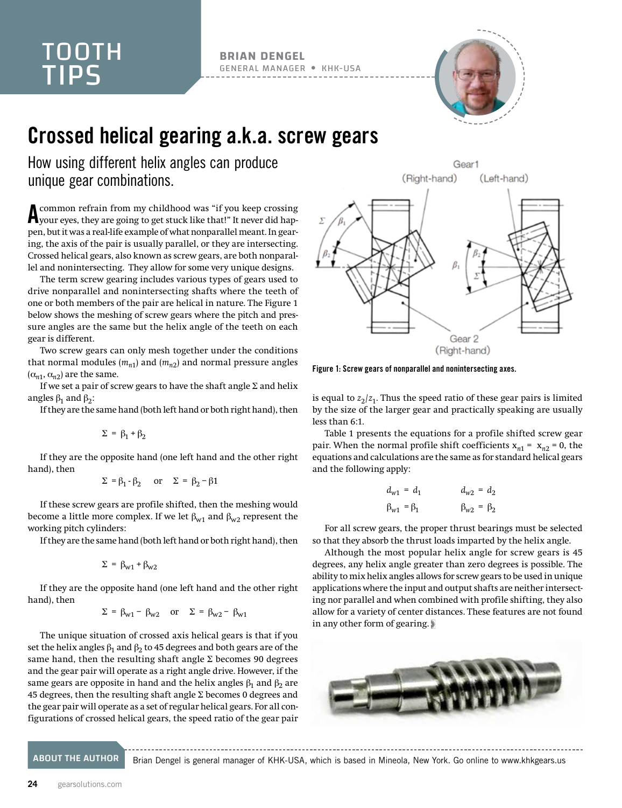## TOOTH TIPS

**BRIAN DENGEL** GENERAL MANAGER KHK-USA



## Crossed helical gearing a.k.a. screw gears

How using different helix angles can produce unique gear combinations.

A common refrain from my childhood was "if you keep crossing your eyes, they are going to get stuck like that!" It never did happen, but it was a real-life example of what nonparallel meant. In gearing, the axis of the pair is usually parallel, or they are intersecting. Crossed helical gears, also known as screw gears, are both nonparallel and nonintersecting. They allow for some very unique designs.

The term screw gearing includes various types of gears used to drive nonparallel and nonintersecting shafts where the teeth of one or both members of the pair are helical in nature. The Figure 1 below shows the meshing of screw gears where the pitch and pressure angles are the same but the helix angle of the teeth on each gear is different.

Two screw gears can only mesh together under the conditions that normal modules  $(m_{n1})$  and  $(m_{n2})$  and normal pressure angles  $(\alpha_{n1}, \alpha_{n2})$  are the same.

If we set a pair of screw gears to have the shaft angle  $\Sigma$  and helix angles  $β_1$  and  $β_2$ :

If they are the same hand (both left hand or both right hand), then

$$
\Sigma = \beta_1 + \beta_2
$$

If they are the opposite hand (one left hand and the other right hand), then

$$
\Sigma = \beta_1 - \beta_2 \quad \text{or} \quad \Sigma = \beta_2 - \beta_1
$$

If these screw gears are profile shifted, then the meshing would become a little more complex. If we let  $\beta_{\le 1}$  and  $\beta_{\le 2}$  represent the working pitch cylinders:

If they are the same hand (both left hand or both right hand), then

$$
\Sigma = \beta_{w1} + \beta_{w2}
$$

If they are the opposite hand (one left hand and the other right hand), then

$$
\Sigma = \beta_{w1} - \beta_{w2} \quad \text{or} \quad \Sigma = \beta_{w2} - \beta_{w1}
$$

The unique situation of crossed axis helical gears is that if you set the helix angles  $\beta_1$  and  $\beta_2$  to 45 degrees and both gears are of the same hand, then the resulting shaft angle  $\Sigma$  becomes 90 degrees and the gear pair will operate as a right angle drive. However, if the same gears are opposite in hand and the helix angles  $\beta_1$  and  $\beta_2$  are 45 degrees, then the resulting shaft angle  $\Sigma$  becomes 0 degrees and the gear pair will operate as a set of regular helical gears. For all configurations of crossed helical gears, the speed ratio of the gear pair



Figure 1: Screw gears of nonparallel and nonintersecting axes.

is equal to  $z_2/z_1$ . Thus the speed ratio of these gear pairs is limited by the size of the larger gear and practically speaking are usually less than 6:1.

Table 1 presents the equations for a profile shifted screw gear pair. When the normal profile shift coefficients  $x_{n1} = x_{n2} = 0$ , the equations and calculations are the same as for standard helical gears and the following apply:

$$
d_{w1} = d_1
$$
  
\n
$$
\beta_{w1} = \beta_1
$$
  
\n
$$
d_{w2} = d_2
$$
  
\n
$$
\beta_{w2} = \beta_2
$$

For all screw gears, the proper thrust bearings must be selected so that they absorb the thrust loads imparted by the helix angle.

Although the most popular helix angle for screw gears is 45 degrees, any helix angle greater than zero degrees is possible. The ability to mix helix angles allows for screw gears to be used in unique applications where the input and output shafts are neither intersecting nor parallel and when combined with profile shifting, they also allow for a variety of center distances. These features are not found in any other form of gearing.



ABOUT THE AUTHOR Brian Dengel is general manager of KHK-USA, which is based in Mineola, New York. Go online to [www.khkgears.us](http://www.khkgears.us)